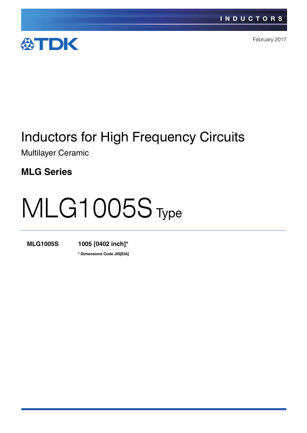

February 2017

## Inductors for High Frequency Circuits

Multilayer Ceramic

**MLG Series**

# MLG1005S Type

**MLG1005S 1005 [0402 inch]\***

**\*** Dimensions Code JIS[EIA]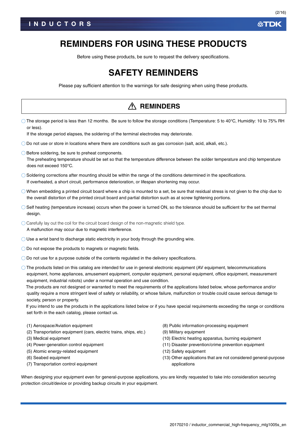**公TDK** 

### **REMINDERS FOR USING THESE PRODUCTS**

Before using these products, be sure to request the delivery specifications.

### **SAFETY REMINDERS**

Please pay sufficient attention to the warnings for safe designing when using these products.

| <b>REMINDERS</b>                                                                                                                                                                                                                                                                                                                                                                                                                                                                                                                                                                                                                                                                                      |                                                                                                                                                                                                                                                                                                |  |  |  |  |  |  |
|-------------------------------------------------------------------------------------------------------------------------------------------------------------------------------------------------------------------------------------------------------------------------------------------------------------------------------------------------------------------------------------------------------------------------------------------------------------------------------------------------------------------------------------------------------------------------------------------------------------------------------------------------------------------------------------------------------|------------------------------------------------------------------------------------------------------------------------------------------------------------------------------------------------------------------------------------------------------------------------------------------------|--|--|--|--|--|--|
| ○ The storage period is less than 12 months. Be sure to follow the storage conditions (Temperature: 5 to 40°C, Humidity: 10 to 75% RH<br>or less).<br>If the storage period elapses, the soldering of the terminal electrodes may deteriorate.                                                                                                                                                                                                                                                                                                                                                                                                                                                        |                                                                                                                                                                                                                                                                                                |  |  |  |  |  |  |
| $\bigcirc$ Do not use or store in locations where there are conditions such as gas corrosion (salt, acid, alkali, etc.).                                                                                                                                                                                                                                                                                                                                                                                                                                                                                                                                                                              |                                                                                                                                                                                                                                                                                                |  |  |  |  |  |  |
| ◯ Before soldering, be sure to preheat components.<br>The preheating temperature should be set so that the temperature difference between the solder temperature and chip temperature<br>does not exceed 150°C.                                                                                                                                                                                                                                                                                                                                                                                                                                                                                       |                                                                                                                                                                                                                                                                                                |  |  |  |  |  |  |
| $\bigcirc$ Soldering corrections after mounting should be within the range of the conditions determined in the specifications.<br>If overheated, a short circuit, performance deterioration, or lifespan shortening may occur.                                                                                                                                                                                                                                                                                                                                                                                                                                                                        |                                                                                                                                                                                                                                                                                                |  |  |  |  |  |  |
| $\bigcirc$ When embedding a printed circuit board where a chip is mounted to a set, be sure that residual stress is not given to the chip due to<br>the overall distortion of the printed circuit board and partial distortion such as at screw tightening portions.                                                                                                                                                                                                                                                                                                                                                                                                                                  |                                                                                                                                                                                                                                                                                                |  |  |  |  |  |  |
| ○ Self heating (temperature increase) occurs when the power is turned ON, so the tolerance should be sufficient for the set thermal<br>design.                                                                                                                                                                                                                                                                                                                                                                                                                                                                                                                                                        |                                                                                                                                                                                                                                                                                                |  |  |  |  |  |  |
| $\bigcirc$ Carefully lay out the coil for the circuit board design of the non-magnetic shield type.<br>A malfunction may occur due to magnetic interference.                                                                                                                                                                                                                                                                                                                                                                                                                                                                                                                                          |                                                                                                                                                                                                                                                                                                |  |  |  |  |  |  |
| $\bigcirc$ Use a wrist band to discharge static electricity in your body through the grounding wire.                                                                                                                                                                                                                                                                                                                                                                                                                                                                                                                                                                                                  |                                                                                                                                                                                                                                                                                                |  |  |  |  |  |  |
| $\bigcirc$ Do not expose the products to magnets or magnetic fields.                                                                                                                                                                                                                                                                                                                                                                                                                                                                                                                                                                                                                                  |                                                                                                                                                                                                                                                                                                |  |  |  |  |  |  |
| $\bigcirc$ Do not use for a purpose outside of the contents regulated in the delivery specifications.                                                                                                                                                                                                                                                                                                                                                                                                                                                                                                                                                                                                 |                                                                                                                                                                                                                                                                                                |  |  |  |  |  |  |
| ○ The products listed on this catalog are intended for use in general electronic equipment (AV equipment, telecommunications<br>equipment, home appliances, amusement equipment, computer equipment, personal equipment, office equipment, measurement<br>equipment, industrial robots) under a normal operation and use condition.<br>The products are not designed or warranted to meet the requirements of the applications listed below, whose performance and/or<br>quality require a more stringent level of safety or reliability, or whose failure, malfunction or trouble could cause serious damage to<br>society, person or property.<br>set forth in the each catalog, please contact us. | If you intend to use the products in the applications listed below or if you have special requirements exceeding the range or conditions                                                                                                                                                       |  |  |  |  |  |  |
| (1) Aerospace/Aviation equipment<br>(2) Transportation equipment (cars, electric trains, ships, etc.)<br>(3) Medical equipment<br>(4) Power-generation control equipment<br>(5) Atomic energy-related equipment<br>(6) Seabed equipment<br>(7) Transportation control equipment<br>When designing your equipment even for general-purpose applications, you are kindly requested to take into consideration securing<br>protection circuit/device or providing backup circuits in your equipment.                                                                                                                                                                                                     | (8) Public information-processing equipment<br>(9) Military equipment<br>(10) Electric heating apparatus, burning equipment<br>(11) Disaster prevention/crime prevention equipment<br>(12) Safety equipment<br>(13) Other applications that are not considered general-purpose<br>applications |  |  |  |  |  |  |

20170210 / inductor\_commercial\_high-frequency\_mlg1005s\_en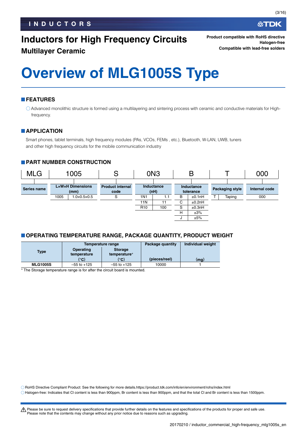**Multilayer Ceramic**

# **Overview of MLG1005S Type**

### **FEATURES**

Advanced monolithic structure is formed using a multilayering and sintering process with ceramic and conductive materials for Highfrequency.

### **APPLICATION**

Smart phones, tablet terminals, high frequency modules (PAs, VCOs, FEMs , etc.), Bluetooth, W-LAN, UWB, tuners and other high frequency circuits for the mobile communication industry

### **PART NUMBER CONSTRUCTION**



### **OPERATING TEMPERATURE RANGE, PACKAGE QUANTITY, PRODUCT WEIGHT**

|  |                 |                          |                                | Package quantity | Individual weight |
|--|-----------------|--------------------------|--------------------------------|------------------|-------------------|
|  | <b>Type</b>     | Operating<br>temperature | <b>Storage</b><br>temperature* |                  |                   |
|  |                 | (°C)                     | (°C)                           | (pieces/reel)    | (mq)              |
|  | <b>MLG1005S</b> | $-55$ to $+125$          | $-55$ to $+125$                | 10000            |                   |

The Storage temperature range is for after the circuit board is mounted.

RoHS Directive Compliant Product: See the following for more details.https://product.tdk.com/info/en/environment/rohs/index.html

Halogen-free: Indicates that Cl content is less than 900ppm, Br content is less than 900ppm, and that the total Cl and Br content is less than 1500ppm.

t Please be sure to request delivery specifications that provide further details on the features and specifications of the products for proper and safe use. Please note that the contents may change without any prior notice due to reasons such as upgrading.

必TDK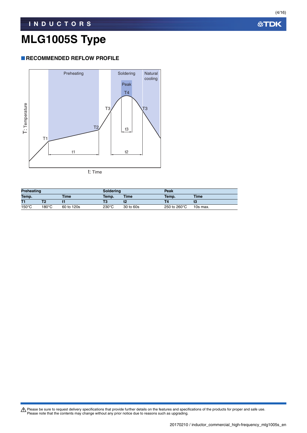### **RECOMMENDED REFLOW PROFILE**



| <b>Preheating</b> |                 |             | <b>Soldering</b> |             | Peak         |             |  |
|-------------------|-----------------|-------------|------------------|-------------|--------------|-------------|--|
| Temp.             |                 | <b>Time</b> | Temp.            | <b>Time</b> | Temp.        | <b>Time</b> |  |
| Т1                | Т2              |             |                  |             |              | w           |  |
| $150^{\circ}$ C   | $180^{\circ}$ C | 60 to 120s  | $230^{\circ}$ C  | 30 to 60s   | 250 to 260°C | 10s max.    |  |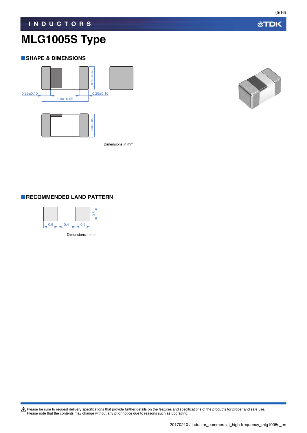### **SHAPE & DIMENSIONS**



Dimensions in mm



### **RECOMMENDED LAND PATTERN**



Please be sure to request delivery specifications that provide further details on the features and specifications of the products for proper and safe use.<br>Please note that the contents may change without any prior notice d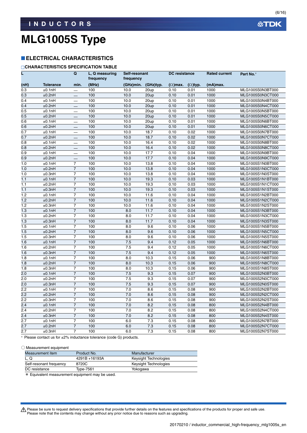### **ELECTRICAL CHARACTERISTICS**

### **CHARACTERISTICS SPECIFICATION TABLE**

| L    |                  | Q                        | L, Q measuring<br>frequency | Self-resonant<br>frequency |           | <b>DC</b> resistance |                 | <b>Rated current</b> | Part No.*        |
|------|------------------|--------------------------|-----------------------------|----------------------------|-----------|----------------------|-----------------|----------------------|------------------|
| (nH) | <b>Tolerance</b> | min.                     | (MHz)                       | (GHz)min.                  | (GHz)typ. | $(\Omega)$ max.      | $(\Omega)$ typ. | (mA)max.             |                  |
| 0.3  | ±0.1nH           |                          | 100                         | 10.0                       | 20up      | 0.10                 | 0.01            | 1000                 | MLG1005S0N3BT000 |
| 0.3  | ±0.2nH           |                          | 100                         | 10.0                       | 20up      | 0.10                 | 0.01            | 1000                 | MLG1005S0N3CT000 |
| 0.4  | ±0.1nH           |                          | 100                         | 10.0                       | 20up      | 0.10                 | 0.01            | 1000                 | MLG1005S0N4BT000 |
| 0.4  | ±0.2nH           |                          | 100                         | 10.0                       | 20up      | 0.10                 | 0.01            | 1000                 | MLG1005S0N4CT000 |
| 0.5  | ±0.1nH           | $\overline{\phantom{0}}$ | 100                         | 10.0                       | 20up      | 0.10                 | 0.01            | 1000                 | MLG1005S0N5BT000 |
| 0.5  | ±0.2nH           |                          | 100                         | 10.0                       | 20up      | 0.10                 | 0.01            | 1000                 | MLG1005S0N5CT000 |
| 0.6  | ±0.1nH           | $\equiv$                 | 100                         | 10.0                       | 20up      | 0.10                 | 0.01            | 1000                 | MLG1005S0N6BT000 |
| 0.6  | ±0.2nH           |                          | 100                         | 10.0                       | 20up      | 0.10                 | 0.01            | 1000                 | MLG1005S0N6CT000 |
| 0.7  | ±0.1nH           | $\overline{\phantom{0}}$ | 100                         | 10.0                       | 18.7      | 0.10                 | 0.02            | 1000                 | MLG1005S0N7BT000 |
| 0.7  | ±0.2nH           |                          | 100                         | 10.0                       | 18.7      | 0.10                 | 0.02            | 1000                 | MLG1005S0N7CT000 |
| 0.8  | ±0.1nH           | $\overline{\phantom{0}}$ | 100                         | 10.0                       | 16.4      | 0.10                 | 0.02            | 1000                 | MLG1005S0N8BT000 |
| 0.8  | ±0.2nH           |                          | 100                         | 10.0                       | 16.4      | 0.10                 | 0.02            | 1000                 | MLG1005S0N8CT000 |
| 0.9  | ±0.1nH           |                          | 100                         | 10.0                       | 17.7      | 0.10                 | 0.04            | 1000                 | MLG1005S0N9BT000 |
| 0.9  | ±0.2nH           |                          | 100                         | 10.0                       | 17.7      | 0.10                 | 0.04            | 1000                 | MLG1005S0N9CT000 |
| 1.0  | ±0.1nH           | $\overline{7}$           | 100                         | 10.0                       | 13.8      | 0.10                 | 0.04            | 1000                 | MLG1005S1N0BT000 |
| 1.0  | ±0.2nH           | $\overline{7}$           | 100                         | 10.0                       | 13.8      | 0.10                 | 0.04            | 1000                 | MLG1005S1N0CT000 |
| 1.0  | ±0.3nH           | $\overline{7}$           | 100                         | 10.0                       | 13.8      | 0.10                 | 0.04            | 1000                 | MLG1005S1N0ST000 |
| 1.1  | ±0.1nH           | $\overline{7}$           | 100                         | 10.0                       | 19.3      | 0.10                 | 0.03            | 1000                 | MLG1005S1N1BT000 |
| 1.1  | ±0.2nH           | $\overline{7}$           | 100                         | 10.0                       | 19.3      | 0.10                 | 0.03            | 1000                 | MLG1005S1N1CT000 |
| 1.1  | ±0.3nH           | $\overline{7}$           | 100                         | 10.0                       | 19.3      | 0.10                 | 0.03            | 1000                 | MLG1005S1N1ST000 |
| 1.2  | ±0.1nH           | $\overline{7}$           | 100                         | 10.0                       | 11.6      | 0.10                 | 0.04            | 1000                 | MLG1005S1N2BT000 |
| 1.2  | ±0.2nH           | $\overline{7}$           | 100                         | 10.0                       | 11.6      | 0.10                 | 0.04            | 1000                 | MLG1005S1N2CT000 |
| 1.2  | ±0.3nH           | $\overline{7}$           | 100                         | 10.0                       | 11.6      | 0.10                 | 0.04            | 1000                 | MLG1005S1N2ST000 |
| 1.3  | ±0.1nH           | $\overline{7}$           | 100                         | 8.0                        | 11.7      | 0.10                 | 0.04            | 1000                 | MLG1005S1N3BT000 |
| 1.3  | ±0.2nH           | $\overline{7}$           | 100                         | 8.0                        | 11.7      | 0.10                 | 0.04            | 1000                 | MLG1005S1N3CT000 |
| 1.3  | ±0.3nH           | $\overline{7}$           | 100                         | 8.0                        | 11.7      | 0.10                 | 0.04            | 1000                 | MLG1005S1N3ST000 |
| 1.5  | ±0.1nH           | $\overline{7}$           | 100                         | 8.0                        | 9.6       | 0.10                 | 0.06            | 1000                 | MLG1005S1N5BT000 |
| 1.5  | ±0.2nH           | $\overline{7}$           | 100                         | 8.0                        | 9.6       | 0.10                 | 0.06            | 1000                 | MLG1005S1N5CT000 |
| 1.5  | ±0.3nH           | $\overline{7}$           | 100                         | 8.0                        | 9.6       | 0.10                 | 0.06            | 1000                 | MLG1005S1N5ST000 |
| 1.6  | ±0.1nH           | $\overline{7}$           | 100                         | 7.5                        | 9.4       | 0.12                 | 0.05            | 1000                 | MLG1005S1N6BT000 |
| 1.6  | ±0.2nH           | $\overline{7}$           | 100                         | 7.5                        | 9.4       | 0.12                 | 0.05            | 1000                 | MLG1005S1N6CT000 |
| 1.6  | ±0.3nH           | $\overline{7}$           | 100                         | 7.5                        | 9.4       | 0.12                 | 0.05            | 1000                 | MLG1005S1N6ST000 |
| 1.8  | ±0.1nH           | $\overline{7}$           | 100                         | 8.0                        | 10.3      | 0.15                 | 0.06            | 900                  | MLG1005S1N8BT000 |
| 1.8  | ±0.2nH           | $\overline{7}$           | 100                         | 8.0                        | 10.3      | 0.15                 | 0.06            | 900                  | MLG1005S1N8CT000 |
| 1.8  | ±0.3nH           | $\overline{7}$           | 100                         | 8.0                        | 10.3      | 0.15                 | 0.06            | 900                  | MLG1005S1N8ST000 |
| 2.0  | ±0.1nH           | $\overline{7}$           | 100                         | 7.5                        | 9.3       | 0.15                 | 0.07            | 900                  | MLG1005S2N0BT000 |
| 2.0  | ±0.2nH           | $\overline{7}$           | 100                         | 7.5                        | 9.3       | 0.15                 | 0.07            | 900                  | MLG1005S2N0CT000 |
| 2.0  | ±0.3nH           | $\overline{7}$           | 100                         | 7.5                        | 9.3       | 0.15                 | 0.07            | 900                  | MLG1005S2N0ST000 |
| 2.2  | ±0.1nH           | $\overline{7}$           | 100                         | 7.0                        | 8.6       | 0.15                 | 0.08            | 900                  | MLG1005S2N2BT000 |
| 2.2  | ±0.2nH           | $\overline{7}$           | 100                         | 7.0                        | 8.6       | 0.15                 | 0.08            | 900                  | MLG1005S2N2CT000 |
| 2.2  | ±0.3nH           | $\overline{7}$           | 100                         | 7.0                        | 8.6       | 0.15                 | 0.08            | 900                  | MLG1005S2N2ST000 |
| 2.4  | ±0.1nH           | $\overline{7}$           | 100                         | 7.0                        | 8.2       | 0.15                 | 0.08            | 800                  | MLG1005S2N4BT000 |
| 2.4  | ±0.2nH           | 7                        | 100                         | 7.0                        | 8.2       | 0.15                 | 0.08            | 800                  | MLG1005S2N4CT000 |
| 2.4  | ±0.3nH           | $\overline{7}$           | 100                         | 7.0                        | 8.2       | 0.15                 | 0.08            | 800                  | MLG1005S2N4ST000 |
| 2.7  | ±0.1nH           | $\overline{7}$           | 100                         | 6.0                        | 7.3       | 0.15                 | 0.08            | 800                  | MLG1005S2N7BT000 |
| 2.7  | ±0.2nH           | $\overline{7}$           | 100                         | 6.0                        | 7.3       | 0.15                 | 0.08            | 800                  | MLG1005S2N7CT000 |
| 2.7  | ±0.3nH           | $\overline{7}$           | 100                         | 6.0                        | 7.3       | 0.15                 | 0.08            | 800                  | MLG1005S2N7ST000 |
|      |                  |                          |                             |                            |           |                      |                 |                      |                  |

Please contact us for ±2% inductance tolerance (code G) products.

#### ○ Measurement equipment

| Measurement item                                                                                                                                                                                                              | Product No.   | Manufacturer          |
|-------------------------------------------------------------------------------------------------------------------------------------------------------------------------------------------------------------------------------|---------------|-----------------------|
| L.Q                                                                                                                                                                                                                           | 4291B +16193A | Keysight Technologies |
| Self-resonant frequency                                                                                                                                                                                                       | 8720C         | Keysight Technologies |
| DC resistance                                                                                                                                                                                                                 | Type-7561     | Yokogawa              |
| and material and the communications are accepted to the control of the community of the community of the community of the community of the community of the community of the community of the community of the community of t |               |                       |

\* Equivalent measurement equipment may be used.

Please be sure to request delivery specifications that provide further details on the features and specifications of the products for proper and safe use.<br>Please note that the contents may change without any prior notice d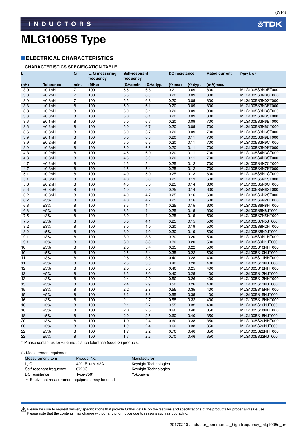### **ELECTRICAL CHARACTERISTICS**

### **CHARACTERISTICS SPECIFICATION TABLE**

|                 |                  | Q              | L, Q measuring<br>frequency | Self-resonant<br>frequency |           | <b>DC</b> resistance |                 | <b>Rated current</b> | Part No.*        |
|-----------------|------------------|----------------|-----------------------------|----------------------------|-----------|----------------------|-----------------|----------------------|------------------|
| (nH)            | <b>Tolerance</b> | min.           | (MHz)                       | (GHz)min.                  | (GHz)typ. | $(\Omega)$ max.      | $(\Omega)$ typ. | (mA)max.             |                  |
| 3.0             | ±0.1nH           | 7              | 100                         | 5.5                        | 6.8       | 0.2                  | 0.09            | 800                  | MLG1005S3N0BT000 |
| 3.0             | ±0.2nH           | $\overline{7}$ | 100                         | 5.5                        | 6.8       | 0.20                 | 0.09            | 800                  | MLG1005S3N0CT000 |
| 3.0             | ±0.3nH           | $\overline{7}$ | 100                         | 5.5                        | 6.8       | 0.20                 | 0.09            | 800                  | MLG1005S3N0ST000 |
| 3.3             | ±0.1nH           | 8              | 100                         | 5.0                        | 6.1       | 0.20                 | 0.09            | 800                  | MLG1005S3N3BT000 |
| 3.3             | ±0.2nH           | 8              | 100                         | 5.0                        | 6.1       | 0.20                 | 0.09            | 800                  | MLG1005S3N3CT000 |
| 3.3             | ±0.3nH           | 8              | 100                         | 5.0                        | 6.1       | 0.20                 | 0.09            | 800                  | MLG1005S3N3ST000 |
| 3.6             | ±0.1nH           | 8              | 100                         | 5.0                        | 6.7       | 0.20                 | 0.09            | 700                  | MLG1005S3N6BT000 |
| 3.6             | ±0.2nH           | 8              | 100                         | 5.0                        | 6.7       | 0.20                 | 0.09            | 700                  | MLG1005S3N6CT000 |
| 3.6             | ±0.3nH           | 8              | 100                         | 5.0                        | 6.7       | 0.20                 | 0.09            | 700                  | MLG1005S3N6ST000 |
| 3.9             | ±0.1nH           | 8              | 100                         | 5.0                        | 6.5       | 0.20                 | 0.11            | 700                  | MLG1005S3N9BT000 |
| 3.9             | ±0.2nH           | 8              | 100                         | 5.0                        | 6.5       | 0.20                 | 0.11            | 700                  | MLG1005S3N9CT000 |
| 3.9             | ±0.3nH           | 8              | 100                         | 5.0                        | 6.5       | 0.20                 | 0.11            | 700                  | MLG1005S3N9ST000 |
| 4.3             | ±0.2nH           | 8              | 100                         | 4.5                        | 6.0       | 0.20                 | 0.11            | 700                  | MLG1005S4N3CT000 |
| 4.3             | ±0.3nH           | 8              | 100                         | 4.5                        | 6.0       | 0.20                 | 0.11            | 700                  | MLG1005S4N3ST000 |
| 4.7             | ±0.2nH           | 8              | 100                         | 4.5                        | 5.4       | 0.25                 | 0.12            | 700                  | MLG1005S4N7CT000 |
| 4.7             | ±0.3nH           | 8              | 100                         | 4.5                        | 5.4       | 0.25                 | 0.12            | 700                  | MLG1005S4N7ST000 |
| 5.1             | ±0.2nH           | 8              | 100                         | 4.0                        | 5.0       | 0.25                 | 0.13            | 600                  | MLG1005S5N1CT000 |
| 5.1             | ±0.3nH           | 8              | 100                         | 4.0                        | 5.0       | 0.25                 | 0.13            | 600                  | MLG1005S5N1ST000 |
| 5.6             | ±0.2nH           | 8              | 100                         | 4.0                        | 5.3       | 0.25                 | 0.14            | 600                  | MLG1005S5N6CT000 |
| 5.6             | ±0.3nH           | 8              | 100                         | 4.0                        | 5.3       | 0.25                 | 0.14            | 600                  | MLG1005S5N6ST000 |
| 6.2             | ±0.3nH           | 8              | 100                         | 4.0                        | 4.7       | 0.25                 | 0.16            | 600                  | MLG1005S6N2ST000 |
| 6.2             | ±3%              | 8              | 100                         | 4.0                        | 4.7       | 0.25                 | 0.16            | 600                  | MLG1005S6N2HT000 |
| 6.8             | ±3%              | 8              | 100                         | 3.5                        | 4.4       | 0.25                 | 0.15            | 600                  | MLG1005S6N8HT000 |
| 6.8             | ±5%              | 8              | 100                         | 3.5                        | 4.4       | 0.25                 | 0.15            | 600                  | MLG1005S6N8JT000 |
| 7.5             | ±3%              | 8              | 100                         | 3.0                        | 4.1       | 0.25                 | 0.15            | 500                  | MLG1005S7N5HT000 |
| 7.5             | ±5%              | 8              | 100                         | 3.0                        | 4.1       | 0.25                 | 0.15            | 500                  | MLG1005S7N5JT000 |
| 8.2             | ±3%              | 8              | 100                         | 3.0                        | 4.0       | 0.30                 | 0.19            | 500                  | MLG1005S8N2HT000 |
| 8.2             | ±5%              | 8              | 100                         | 3.0                        | 4.0       | 0.30                 | 0.19            | 500                  | MLG1005S8N2JT000 |
| 9.1             | $\pm 3\%$        | 8              | 100                         | 3.0                        | 3.8       | 0.30                 | 0.20            | 500                  | MLG1005S9N1HT000 |
| 9.1             | ±5%              | 8              | 100                         | 3.0                        | 3.8       | 0.30                 | 0.20            | 500                  | MLG1005S9N1JT000 |
| 10              | ±3%              | 8              | 100                         | 2.5                        | 3.4       | 0.35                 | 0.22            | 500                  | MLG1005S10NHT000 |
| 10              | ±5%              | 8              | 100                         | 2.5                        | 3.4       | 0.35                 | 0.22            | 500                  | MLG1005S10NJT000 |
| 11              | ±3%              | 8              | 100                         | 2.5                        | 3.5       | 0.40                 | 0.28            | 400                  | MLG1005S11NHT000 |
| $\overline{11}$ | ±5%              | $\overline{8}$ | 100                         | 2.5                        | 3.5       | 0.40                 | 0.28            | 400                  | MLG1005S11NJT000 |
| 12              | ±3%              | 8              | 100                         | 2.5                        | 3.0       | 0.40                 | 0.25            | 400                  | MLG1005S12NHT000 |
| 12              | ±5%              | 8              | 100                         | 2.5                        | 3.0       | 0.40                 | 0.25            | 400                  | MLG1005S12NJT000 |
| 13              | $\pm 3\%$        | 8              | 100                         | 2.4                        | 2.9       | 0.50                 | 0.26            | 400                  | MLG1005S13NHT000 |
| 13              | ±5%              | 8              | 100                         | 2.4                        | 2.9       | 0.50                 | 0.26            | 400                  | MLG1005S13NJT000 |
| 15              | ±3%              | 8              | 100                         | 2.2                        | 2.8       | 0.55                 | 0.35            | 400                  | MLG1005S15NHT000 |
| 15              | ±5%              | 8              | 100                         | 2.2                        | 2.8       | 0.55                 | 0.35            | 400                  | MLG1005S15NJT000 |
| 16              | ±3%              | 8              | 100                         | 2.1                        | 2.7       | 0.55                 | 0.32            | 400                  | MLG1005S16NHT000 |
| 16              | ±5%              | 8              | 100                         | 2.1                        | 2.7       | 0.55                 | 0.32            | 400                  | MLG1005S16NJT000 |
| 18              | ±3%              | 8              | 100                         | 2.0                        | 2.5       | 0.60                 | 0.40            | 350                  | MLG1005S18NHT000 |
| 18              | ±5%              | 8              | 100                         | 2.0                        | 2.5       | 0.60                 | 0.40            | 350                  | MLG1005S18NJT000 |
| 20              | ±3%              | 8              | 100                         | 1.9                        | 2.4       | 0.60                 | 0.38            | 350                  | MLG1005S20NHT000 |
| 20              | ±5%              | 8              | 100                         | 1.9                        | 2.4       | 0.60                 | 0.38            | 350                  | MLG1005S20NJT000 |
| 22              | ±3%              | 8              | 100                         | 1.7                        | 2.2       | 0.70                 | 0.46            | 350                  | MLG1005S22NHT000 |
| $\overline{22}$ | ±5%              | 8              | 100                         | 1.7                        | 2.2       | 0.70                 | 0.46            | 350                  | MLG1005S22NJT000 |

\* Please contact us for ±2% inductance tolerance (code G) products.

#### ○ Measurement equipment

| Measurement item        | Product No.   | Manufacturer                 |
|-------------------------|---------------|------------------------------|
| L.Q                     | 4291B +16193A | <b>Keysight Technologies</b> |
| Self-resonant frequency | 8720C         | Keysight Technologies        |
| DC resistance           | Type-7561     | Yokogawa                     |

\* Equivalent measurement equipment may be used.

(7/16)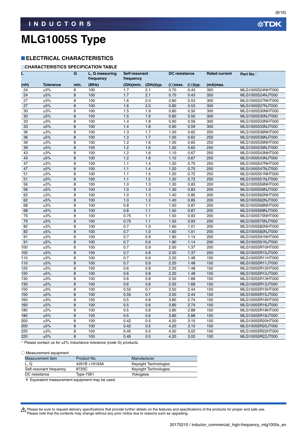### **ELECTRICAL CHARACTERISTICS**

### **CHARACTERISTICS SPECIFICATION TABLE**

|      |                  | Q       | L. Q measuring<br>frequency | frequency | Self-resonant<br><b>DC</b> resistance |                 | <b>Rated current</b> | Part No.* |                  |
|------|------------------|---------|-----------------------------|-----------|---------------------------------------|-----------------|----------------------|-----------|------------------|
| (nH) | <b>Tolerance</b> | min.    | (MHz)                       | (GHz)min. | (GHz)typ.                             | $(\Omega)$ max. | $(\Omega)$ typ.      | (mA)max.  |                  |
| 24   | ±3%              | 8       | 100                         | 1.7       | 2.1                                   | 0.70            | 0.43                 | 350       | MLG1005S24NHT000 |
| 24   | ±5%              | 8       | 100                         | 1.7       | 2.1                                   | 0.70            | 0.43                 | 350       | MLG1005S24NJT000 |
| 27   | ±3%              | 8       | 100                         | 1.6       | 2.0                                   | 0.80            | 0.53                 | 300       | MLG1005S27NHT000 |
| 27   | ±5%              | 8       | 100                         | 1.6       | 2.0                                   | 0.80            | 0.53                 | 300       | MLG1005S27NJT000 |
| 30   | ±3%              | 8       | 100                         | 1.5       | 1.9                                   | 0.80            | 0.50                 | 300       | MLG1005S30NHT000 |
| 30   | ±5%              | 8       | 100                         | 1.5       | 1.9                                   | 0.80            | 0.50                 | 300       | MLG1005S30NJT000 |
| 33   | $\pm 3\%$        | 8       | 100                         | 1.4       | 1.8                                   | 0.90            | 0.59                 | 300       | MLG1005S33NHT000 |
| 33   | ±5%              | 8       | 100                         | 1.4       | 1.8                                   | 0.90            | 0.59                 | 300       | MLG1005S33NJT000 |
| 36   | $\pm 3\%$        | 8       | 100                         | 1.3       | 1.7                                   | 1.00            | 0.62                 | 250       | MLG1005S36NHT000 |
| 36   | ±5%              | 8       | 100                         | 1.3       | 1.7                                   | 1.00            | 0.62                 | 250       | MLG1005S36NJT000 |
| 39   | ±3%              | 8       | 100                         | 1.2       | 1.6                                   | 1.00            | 0.65                 | 250       | MLG1005S39NHT000 |
| 39   | ±5%              | 8       | 100                         | 1.2       | 1.6                                   | 1.00            | 0.65                 | 250       | MLG1005S39NJT000 |
| 43   | ±3%              | 8       | 100                         | 1.2       | 1.6                                   | 1.10            | 0.67                 | 250       | MLG1005S43NHT000 |
| 43   | ±5%              | 8       | 100                         | 1.2       | 1.6                                   | 1.10            | 0.67                 | 250       | MLG1005S43NJT000 |
| 47   | $\pm 3\%$        | 8       | 100                         | 1.1       | 1.4                                   | 1.20            | 0.75                 | 250       | MLG1005S47NHT000 |
| 47   | ±5%              | 8       | 100                         | 1.1       | 1.4                                   | 1.20            | 0.75                 | 250       | MLG1005S47NJT000 |
| 51   | ±3%              | 8       | 100                         | 1.1       | 1.5                                   | 1.20            | 0.72                 | 250       | MLG1005S51NHT000 |
| 51   | ±5%              | 8       | 100                         | 1.1       | 1.5                                   | 1.20            | 0.72                 | 250       | MLG1005S51NJT000 |
| 56   | ±3%              | 8       | 100                         | 1.0       | 1.3                                   | 1.30            | 0.83                 | 200       | MLG1005S56NHT000 |
| 56   | ±5%              | 8       | 100                         | 1.0       | 1.3                                   | 1.30            | 0.83                 | 200       | MLG1005S56NJT000 |
| 62   | ±3%              | 8       | 100                         | 1.0       | 1.3                                   | 1.40            | 0.85                 | 200       | MLG1005S62NHT000 |
| 62   | ±5%              | 8       | 100                         | 1.0       | 1.3                                   | 1.40            | 0.85                 | 200       | MLG1005S62NJT000 |
| 68   | ±3%              | 8       | 100                         | 0.8       | 1.1                                   | 1.50            | 0.87                 | 200       | MLG1005S68NHT000 |
| 68   | ±5%              | 8       | 100                         | 0.8       | 1.1                                   | 1.50            | 0.87                 | 200       | MLG1005S68NJT000 |
| 75   | ±3%              | 8       | 100                         | 0.75      | 1.1                                   | 1.50            | 0.93                 | 200       | MLG1005S75NHT000 |
| 75   | ±5%              | 8       | 100                         | 0.75      | 1.1                                   | 1.50            | 0.93                 | 200       | MLG1005S75NJT000 |
| 82   | $\pm 3\%$        | 8       | 100                         | 0.7       | 1.0                                   | 1.60            | 1.01                 | 200       | MLG1005S82NHT000 |
| 82   | ±5%              | 8       | 100                         | 0.7       | 1.0                                   | 1.60            | 1.01                 | 200       | MLG1005S82NJT000 |
| 91   | ±3%              | 8       | 100                         | 0.7       | 0.9                                   | 1.80            | 1.14                 | 200       | MLG1005S91NHT000 |
| 91   | ±5%              | 8       | 100                         | 0.7       | 0.9                                   | 1.80            | 1.14                 | 200       | MLG1005S91NJT000 |
| 100  | ±3%              | 8       | 100                         | 0.7       | 0.9                                   | 2.00            | 1.37                 | 200       | MLG1005SR10HT000 |
| 100  | ±5%              | 8       | 100                         | 0.7       | 0.9                                   | 2.00            | 1.37                 | 200       | MLG1005SR10JT000 |
| 110  | ±3%              | 8       | 100                         | 0.7       | 0.9                                   | 2.20            | 1.48                 | 150       | MLG1005SR11HT000 |
| 110  | ±5%              | $\bf 8$ | 100                         | 0.7       | 0.9                                   | 2.20            | 1.48                 | 150       | MLG1005SR11JT000 |
| 120  | ±3%              | 8       | 100                         | 0.6       | 0.8                                   | 2.20            | 1.48                 | 150       | MLG1005SR12HT000 |
| 120  | ±5%              | 8       | 100                         | 0.6       | 0.8                                   | 2.20            | 1.48                 | 150       | MLG1005SR12JT000 |
| 130  | $\pm 3\%$        | 8       | 100                         | 0.6       | 0.8                                   | 2.50            | 1.68                 | 150       | MLG1005SR13HT000 |
| 130  | ±5%              | 8       | 100                         | 0.6       | 0.8                                   | 2.50            | 1.68                 | 150       | MLG1005SR13JT000 |
| 150  | ±3%              | 8       | 100                         | 0.55      | 0.7                                   | 3.50            | 2.44                 | 150       | MLG1005SR15HT000 |
| 150  | ±5%              | 8       | 100                         | 0.55      | 0.7                                   | 3.50            | 2.44                 | 150       | MLG1005SR15JT000 |
| 160  | ±3%              | 8       | 100                         | 0.5       | 0.6                                   | 3.80            | 2.74                 | 150       | MLG1005SR16HT000 |
| 160  | ±5%              | 8       | 100                         | 0.5       | 0.6                                   | 3.80            | 2.74                 | 150       | MLG1005SR16JT000 |
| 180  | ±3%              | 8       | 100                         | 0.5       | 0.6                                   | 3.80            | 2.88                 | 150       | MLG1005SR18HT000 |
| 180  | ±5%              | 8       | 100                         | 0.5       | 0.6                                   | 3.80            | 2.88                 | 150       | MLG1005SR18JT000 |
| 200  | $\pm 3\%$        | 8       | 100                         | 0.42      | 0.5                                   | 4.20            | 3.15                 | 100       | MLG1005SR20HT000 |
| 200  | ±5%              | 8       | 100                         | 0.42      | 0.5                                   | 4.20            | 3.15                 | 100       | MLG1005SR20JT000 |
| 220  | ±3%              | 8       | 100                         | 0.45      | 0.5                                   | 4.20            | 3.02                 | 100       | MLG1005SR22HT000 |
| 220  | ±5%              | 8       | 100                         | 0.45      | 0.5                                   | 4.20            | 3.02                 | 100       | MLG1005SR22JT000 |

Please contact us for ±2% inductance tolerance (code G) products.

#### ○ Measurement equipment

| Measurement item        | Product No.   | Manufacturer          |
|-------------------------|---------------|-----------------------|
| L.Q                     | 4291B +16193A | Keysight Technologies |
| Self-resonant frequency | 8720C         | Keysight Technologies |
| DC resistance           | Type-7561     | Yokogawa              |

\* Equivalent measurement equipment may be used.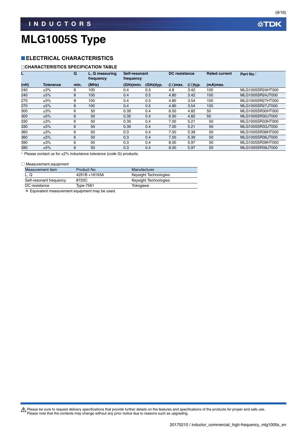### **ELECTRICAL CHARACTERISTICS**

### **CHARACTERISTICS SPECIFICATION TABLE**

|      |           | Q    | L, Q measuring<br>frequency | Self-resonant<br>frequency |           | <b>DC</b> resistance |                 | <b>Rated current</b> | Part No.*        |
|------|-----------|------|-----------------------------|----------------------------|-----------|----------------------|-----------------|----------------------|------------------|
| (nH) | Tolerance | min. | (MHz)                       | (GHz)min.                  | (GHz)typ. | $(\Omega)$ max.      | $(\Omega)$ typ. | $(mA)$ max.          |                  |
| 240  | ±3%       | 8    | 100                         | 0.4                        | 0.5       | 4.8                  | 3.42            | 100                  | MLG1005SR24HT000 |
| 240  | ±5%       | 8    | 100                         | 0.4                        | 0.5       | 4.80                 | 3.42            | 100                  | MLG1005SR24JT000 |
| 270  | ±3%       | 8    | 100                         | 0.4                        | 0.5       | 4.80                 | 3.54            | 100                  | MLG1005SR27HT000 |
| 270  | ±5%       | 8    | 100                         | 0.4                        | 0.5       | 4.80                 | 3.54            | 100                  | MLG1005SR27JT000 |
| 300  | ±3%       | 6    | 50                          | 0.35                       | 0.4       | 6.50                 | 4.82            | 50                   | MLG1005SR30HT000 |
| 300  | ±5%       | 6    | 50                          | 0.35                       | 0.4       | 6.50                 | 4.82            | 50                   | MLG1005SR30JT000 |
| 330  | ±3%       | 6    | 50                          | 0.35                       | 0.4       | 7.00                 | 5.21            | 50                   | MLG1005SR33HT000 |
| 330  | ±5%       | 6    | 50                          | 0.35                       | 0.4       | 7.00                 | 5.21            | 50                   | MLG1005SR33JT000 |
| 360  | ±3%       | 6    | 50                          | 0.3                        | 0.4       | 7.50                 | 5.39            | 50                   | MLG1005SR36HT000 |
| 360  | ±5%       | 6    | 50                          | 0.3                        | 0.4       | 7.50                 | 5.39            | 50                   | MLG1005SR36JT000 |
| 390  | ±3%       | 6    | 50                          | 0.3                        | 0.4       | 8.00                 | 5.97            | 50                   | MLG1005SR39HT000 |
| 390  | ±5%       | 6    | 50                          | 0.3                        | 0.4       | 8.00                 | 5.97            | 50                   | MLG1005SR39JT000 |

Please contact us for ±2% inductance tolerance (code G) products.

#### ○ Measurement equipment

| Measurement item        | Product No.   | Manufacturer          |
|-------------------------|---------------|-----------------------|
| L.Q                     | 4291B +16193A | Keysight Technologies |
| Self-resonant frequency | 8720C         | Keysight Technologies |
| DC resistance           | Tvpe-7561     | Yokogawa              |
|                         |               |                       |

\* Equivalent measurement equipment may be used.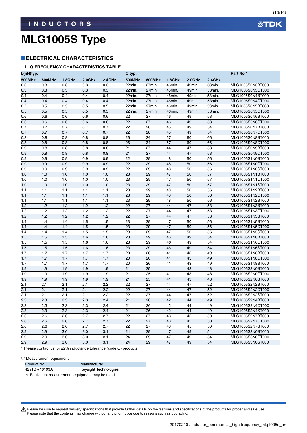### **ELECTRICAL CHARACTERISTICS**

#### **L, Q FREQUENCY CHARACTERISTICS TABLE**

| L(nH)typ.        |               |        |           |        | Q typ.        |               |        |           |                     | Part No.*        |
|------------------|---------------|--------|-----------|--------|---------------|---------------|--------|-----------|---------------------|------------------|
| 500MHz           | <b>800MHz</b> | 1.8GHz | $2.0$ GHz | 2.4GHz | <b>500MHz</b> | <b>800MHz</b> | 1.8GHz | $2.0$ GHz | 2.4GHz              |                  |
| 0.3              | 0.3           | 0.3    | 0.3       | 0.3    | 22min.        | 27min.        | 46min. | 49min.    | 53min.              | MLG1005S0N3BT000 |
| 0.3              | 0.3           | 0.3    | 0.3       | 0.3    | 22min.        | 27min.        | 46min. | 49min.    | 53min.              | MLG1005S0N3CT000 |
| 0.4              | 0.4           | 0.4    | 0.4       | 0.4    | 22min.        | 27min.        | 46min. | 49min.    | $\overline{5}3min.$ | MLG1005S0N4BT000 |
| 0.4              | 0.4           | 0.4    | 0.4       | 0.4    | 22min.        | 27min.        | 46min. | 49min.    | 53min.              | MLG1005S0N4CT000 |
| 0.5              | 0.5           | 0.5    | 0.5       | 0.5    | 22min.        | 27min.        | 46min. | 49min.    | 53min.              | MLG1005S0N5BT000 |
| 0.5              | 0.5           | 0.5    | 0.5       | 0.5    | 22min.        | 27min.        | 46min. | 49min.    | 53min.              | MLG1005S0N5CT000 |
| 0.6              | 0.6           | 0.6    | 0.6       | 0.6    | 22            | 27            | 46     | 49        | 53                  | MLG1005S0N6BT000 |
| 0.6              | 0.6           | 0.6    | 0.6       | 0.6    | 22            | 27            | 46     | 49        | 53                  | MLG1005S0N6CT000 |
| 0.7              | 0.7           | 0.7    | 0.7       | 0.7    | 22            | 28            | 45     | 49        | 54                  | MLG1005S0N7BT000 |
| 0.7              | 0.7           | 0.7    | 0.7       | 0.7    | 22            | 28            | 45     | 49        | 54                  | MLG1005S0N7CT000 |
| 0.8              | 0.8           | 0.8    | 0.8       | 0.8    | 26            | 34            | 57     | 60        | 66                  | MLG1005S0N8BT000 |
| 0.8              | 0.8           | 0.8    | 0.8       | 0.8    | 26            | 34            | 57     | 60        | 66                  | MLG1005S0N8CT000 |
| 0.9              | 0.8           | 0.8    | 0.8       | 0.8    | 21            | 27            | 44     | 47        | 53                  | MLG1005S0N9BT000 |
| 0.9              | 0.8           | 0.8    | 0.8       | 0.8    | 21            | 27            | 44     | 47        | 53                  | MLG1005S0N9CT000 |
| 0.9              | 0.9           | 0.9    | 0.9       | 0.9    | 22            | 29            | 48     | 50        | 56                  | MLG1005S1N0BT000 |
| 0.9              | 0.9           | 0.9    | 0.9       | 0.9    | 22            | 29            | 48     | 50        | 56                  | MLG1005S1N0CT000 |
| 0.9              | 0.9           | 0.9    | 0.9       | 0.9    | 22            | 29            | 48     | 50        | 56                  | MLG1005S1N0ST000 |
| 1.0              | 1.0           | 1.0    | 1.0       | 1.0    | 23            | 29            | 47     | 50        | 57                  | MLG1005S1N1BT000 |
| 1.0              | 1.0           | 1.0    | 1.0       | 1.0    | 23            | 29            | 47     | 50        | 57                  | MLG1005S1N1CT000 |
| 1.0              | 1.0           | 1.0    | 1.0       | 1.0    | 23            | 29            | 47     | 50        | 57                  | MLG1005S1N1ST000 |
| 1.1              | 1.1           | 1.1    | 1.1       | 1.1    | 23            | 29            | 48     | 50        | 56                  | MLG1005S1N2BT000 |
| 1.1              | 1.1           | 1.1    | 1.1       | 1.1    | 23            | 29            | 48     | 50        | 56                  | MLG1005S1N2CT000 |
| 1.1              | 1.1           | 1.1    | 1.1       | 1.1    | 23            | 29            | 48     | 50        | 56                  | MLG1005S1N2ST000 |
| 1.2              | 1.2           | 1.2    | 1.2       | 1.2    | 22            | 27            | 44     | 47        | 53                  | MLG1005S1N3BT000 |
| 1.2              | 1.2           | 1.2    | 1.2       | 1.2    | 22            | 27            | 44     | 47        | 53                  | MLG1005S1N3CT000 |
| 1.2              | 1.2           | 1.2    | 1.2       | 1.2    | 22            | 27            | 44     | 47        | 53                  | MLG1005S1N3ST000 |
| 1.4              | 1.4           | 1.4    | 1.5       | 1.5    | 23            | 29            | 47     | 50        | 56                  | MLG1005S1N5BT000 |
| $\overline{1.4}$ | 1.4           | 1.4    | 1.5       | 1.5    | 23            | 29            | 47     | 50        | 56                  | MLG1005S1N5CT000 |
| 1.4              | 1.4           | 1.4    | 1.5       | 1.5    | 23            | 29            | 47     | 50        | 56                  | MLG1005S1N5ST000 |
| 1.5              | 1.5           | 1.5    | 1.6       | 1.6    | 23            | 29            | 46     | 49        | 54                  | MLG1005S1N6BT000 |
| 1.5              | 1.5           | 1.5    | 1.6       | 1.6    | 23            | 29            | 46     | 49        | 54                  | MLG1005S1N6CT000 |
| 1.5              | 1.5           | 1.5    | 1.6       | 1.6    | 23            | 29            | 46     | 49        | 54                  | MLG1005S1N6ST000 |
| 1.7              | 1.7           | 1.7    | 1.7       | 1.7    | 20            | 26            | 41     | 43        | 49                  | MLG1005S1N8BT000 |
| 1.7              | 1.7           | 1.7    | 1.7       | 1.7    | 20            | 26            | 41     | 43        | 49                  | MLG1005S1N8CT000 |
| 1.7              | 1.7           | 1.7    | 1.7       | 1.7    | 20            | 26            | 41     | 43        | 49                  | MLG1005S1N8ST000 |
| 1.9              | 1.9           | 1.9    | 1.9       | 1.9    | 21            | 25            | 41     | 43        | 48                  | MLG1005S2N0BT000 |
| 1.9              | 1.9           | 1.9    | 1.9       | 1.9    | 21            | 25            | 41     | 43        | 48                  | MLG1005S2N0CT000 |
| 1.9              | 1.9           | 1.9    | 1.9       | 1.9    | 21            | 25            | 41     | 43        | 48                  | MLG1005S2N0ST000 |
| 2.1              | 2.1           | 2.1    | 2.1       | 2.2    | 22            | 27            | 44     | 47        | 52                  | MLG1005S2N2BT000 |
| 2.1              | 2.1           | 2.1    | 2.1       | 2.2    | 22            | 27            | 44     | 47        | 52                  | MLG1005S2N2CT000 |
| 2.1              | 2.1           | 2.1    | 2.1       | 2.2    | 22            | 27            | 44     | 47        | 52                  | MLG1005S2N2ST000 |
| $\overline{2.3}$ | 2.3           | 2.3    | 2.3       | 2.4    | 21            | 26            | 42     | 44        | 49                  | MLG1005S2N4BT000 |
| 2.3              | 2.3           | 2.3    | 2.3       | 2.4    | 21            | 26            | 42     | 44        | 49                  | MLG1005S2N4CT000 |
| 2.3              | 2.3           | 2.3    | 2.3       | 2.4    | 21            | 26            | 42     | 44        | 49                  | MLG1005S2N4ST000 |
| 2.6              | 2.6           | 2.6    | 2.7       | 2.7    | 22            | 27            | 43     | 45        | 50                  | MLG1005S2N7BT000 |
| 2.6              | 2.6           | 2.6    | 2.7       | 2.7    | 22            | 27            | 43     | 45        | 50                  | MLG1005S2N7CT000 |
| 2.6              | 2.6           | 2.6    | 2.7       | 2.7    | 22            | 27            | 43     | 45        | 50                  | MLG1005S2N7ST000 |
| 2.9              | 2.9           | 3.0    | 3.0       | 3.1    | 24            | 29            | 47     | 49        | 54                  | MLG1005S3N0BT000 |
| 2.9              | 2.9           | 3.0    | 3.0       | 3.1    | 24            | 29            | 47     | 49        | 54                  | MLG1005S3N0CT000 |
| 2.9              | 2.9           | 3.0    | 3.0       | 3.1    | 24            | 29            | 47     | 49        | 54                  | MLG1005S3N0ST000 |

Please contact us for ±2% inductance tolerance (code G) products.

#### ○ Measurement equipment

| Product No.                                    | Manufacturer          |  |  |  |
|------------------------------------------------|-----------------------|--|--|--|
| 4291B +16193A                                  | Keysight Technologies |  |  |  |
| * Equivalent measurement equipment may be used |                       |  |  |  |

\* Equivalent measurement equipment may be used.

Please be sure to request delivery specifications that provide further details on the features and specifications of the products for proper and safe use.<br>Please note that the contents may change without any prior notice d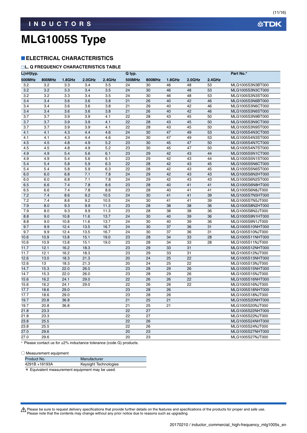### **ELECTRICAL CHARACTERISTICS**

#### **L, Q FREQUENCY CHARACTERISTICS TABLE**

| L(nH)typ.     |               |        |           |        | Q typ.        |        |        |           |        | Part No.*        |
|---------------|---------------|--------|-----------|--------|---------------|--------|--------|-----------|--------|------------------|
| <b>500MHz</b> | <b>800MHz</b> | 1.8GHz | $2.0$ GHz | 2.4GHz | <b>500MHz</b> | 800MHz | 1.8GHz | $2.0$ GHz | 2.4GHz |                  |
| 3.2           | 3.2           | 3.3    | 3.4       | 3.5    | 24            | 30     | 46     | 48        | 53     | MLG1005S3N3BT000 |
| 3.2           | 3.2           | 3.3    | 3.4       | 3.5    | 24            | 30     | 46     | 48        | 53     | MLG1005S3N3CT000 |
| 3.2           | 3.2           | 3.3    | 3.4       | 3.5    | 24            | 30     | 46     | 48        | 53     | MLG1005S3N3ST000 |
| 3.4           | 3.4           | 3.6    | 3.6       | 3.8    | 21            | 26     | 40     | 42        | 46     | MLG1005S3N6BT000 |
| 3.4           | 3.4           | 3.6    | 3.6       | 3.8    | 21            | 26     | 40     | 42        | 46     | MLG1005S3N6CT000 |
| 3.4           | 3.4           | 3.6    | 3.6       | 3.8    | 21            | 26     | 40     | 42        | 46     | MLG1005S3N6ST000 |
| 3.7           | 3.7           | 3.9    | 3.9       | 4.1    | 22            | 28     | 43     | 45        | 50     | MLG1005S3N9BT000 |
| 3.7           | 3.7           | 3.9    | 3.9       | 4.1    | 22            | 28     | 43     | 45        | 50     | MLG1005S3N9CT000 |
| 3.7           | 3.7           | 3.9    | 3.9       | 4.1    | 22            | 28     | 43     | 45        | 50     | MLG1005S3N9ST000 |
| 4.1           | 4.1           | 4.3    | 4.4       | 4.6    | 24            | 30     | 47     | 49        | 53     | MLG1005S4N3CT000 |
| 4.1           | 4.1           | 4.3    | 4.4       | 4.6    | 24            | 30     | 47     | 49        | 53     | MLG1005S4N3ST000 |
| 4.5           | 4.5           | 4.8    | 4.9       | 5.2    | 23            | 30     | 45     | 47        | 50     | MLG1005S4N7CT000 |
| 4.5           | 4.5           | 4.8    | 4.9       | 5.2    | 23            | 30     | 45     | 47        | 50     | MLG1005S4N7ST000 |
| 4.9           | 4.9           | 5.4    | 5.6       | 6.1    | 23            | 29     | 42     | 43        | 44     | MLG1005S5N1CT000 |
| 4.9           | 4.9           | 5.4    | 5.6       | 6.1    | 23            | 29     | 42     | 43        | 44     | MLG1005S5N1ST000 |
| 5.4           | 5.4           | 5.8    | 5.9       | 6.3    | 22            | 28     | 42     | 43        | 45     | MLG1005S5N6CT000 |
| 5.4           | 5.4           | 5.8    | 5.9       | 6.3    | 22            | 28     | 42     | 43        | 45     | MLG1005S5N6ST000 |
| 6.0           | 6.0           | 6.8    | 7.1       | 7.8    | 24            | 29     | 42     | 43        | 43     | MLG1005S6N2HT000 |
| 6.0           | 6.0           | 6.8    | 7.1       | 7.8    | 24            | 29     | 42     | 43        | 43     | MLG1005S6N2ST000 |
| 6.5           | 6.6           | 7.4    | 7.8       | 8.6    | 23            | 28     | 40     | 41        | 41     | MLG1005S6N8HT000 |
| 6.5           | 6.6           | 7.4    | 7.8       | 8.6    | 23            | 28     | 40     | 41        | 41     | MLG1005S6N8JT000 |
| 7.2           | 7.4           | 8.6    | 9.2       | 10.5   | 24            | 30     | 41     | 41        | 39     | MLG1005S7N5HT000 |
| 7.2           | 7.4           | 8.6    | 9.2       | 10.5   | 24            | 30     | 41     | 41        | 39     | MLG1005S7N5JT000 |
| 7.9           | 8.0           | 9.3    | 9.9       | 11.3   | 23            | 28     | 38     | 38        | 36     | MLG1005S8N2HT000 |
| 7.9           | 8.0           | 9.3    | 9.9       | 11.3   | 23            | 28     | 38     | 38        | 36     | MLG1005S8N2JT000 |
| 8.8           | 9.0           | 10.8   | 11.6      | 13.7   | 24            | 30     | 40     | 39        | 36     | MLG1005S9N1HT000 |
| 8.8           | 9.0           | 10.8   | 11.6      | 13.7   | 24            | 30     | 40     | 39        | 36     | MLG1005S9N1JT000 |
| 9.7           | 9.9           | 12.4   | 13.5      | 16.7   | 24            | 30     | 37     | 36        | 31     | MLG1005S10NHT000 |
| 9.7           | 9.9           | 12.4   | 13.5      | 16.7   | 24            | 30     | 37     | 36        | 31     | MLG1005S10NJT000 |
| 10.6          | 10.9          | 13.8   | 15.1      | 19.0   | 23            | 28     | 34     | 33        | 28     | MLG1005S11NHT000 |
| 10.6          | 10.9          | 13.8   | 15.1      | 19.0   | 23            | 28     | 34     | 33        | 28     | MLG1005S11NJT000 |
| 11.7          | 12.1          | 16.2   | 18.3      |        | 23            | 29     | 33     | 31        |        | MLG1005S12NHT000 |
| 11.7          | 12.1          | 16.2   | 18.3      |        | 23            | 29     | 33     | 31        |        | MLG1005S12NJT000 |
| 12.6          | 13.0          | 18.3   | 21.3      |        | 20            | 24     | 25     | 22        |        | MLG1005S13NHT000 |
| 12.6          | 13            | 18.3   | 21.3      |        | 20            | 24     | 25     | 22        |        | MLG1005S13NJT000 |
| 14.7          | 15.3          | 22.0   | 26.0      |        | 23            | 28     | 29     | 26        |        | MLG1005S15NHT000 |
| 14.7          | 15.3          | 22.0   | 26.0      |        | 23            | 28     | 29     | 26        |        | MLG1005S15NJT000 |
| 15.6          | 16.2          | 24.1   | 29.0      |        | 22            | 26     | 26     | 22        |        | MLG1005S16NHT000 |
| 15.6          | 16.2          | 24.1   | 29.0      |        | 22            | 26     | 26     | 22        |        | MLG1005S16NJT000 |
| 17.7          | 18.6          | 29.0   |           |        | 23            | 28     | 26     |           |        | MLG1005S18NHT000 |
| 17.7          | 18.6          | 29.0   |           |        | 23            | 28     | 26     |           |        | MLG1005S18NJT000 |
| 19.7          | 20.8          | 36.8   |           |        | 21            | 25     | 21     |           |        | MLG1005S20NHT000 |
| 19.7          | 20.8          | 36.8   |           |        | 21            | 25     | 21     |           |        | MLG1005S20NJT000 |
| 21.8          | 23.3          |        |           |        | 22            | 27     |        |           |        | MLG1005S22NHT000 |
| 21.8          | 23.3          |        |           |        | 22            | 27     |        |           |        | MLG1005S22NJT000 |
| 23.8          | 25.5          |        |           |        | 22            | 26     |        |           |        | MLG1005S24NHT000 |
| 23.8          | 25.5          |        |           |        | 22            | 26     |        |           |        | MLG1005S24NJT000 |
| 27.0          | 29.6          |        |           |        | 20            | 23     |        |           |        | MLG1005S27NHT000 |
| 27.0          | 29.6          |        |           |        | 20            | 23     |        |           |        | MLG1005S27NJT000 |

Please contact us for ±2% inductance tolerance (code G) products.

○ Measurement equipment

| Product No.                                                                                                    | Manufacturer          |  |  |  |
|----------------------------------------------------------------------------------------------------------------|-----------------------|--|--|--|
| 4291B +16193A                                                                                                  | Keysight Technologies |  |  |  |
| nder Entschlecht der Großenstadt der Entschenden der Erstellung und der Statte und Statte und Statte und Statt |                       |  |  |  |

\* Equivalent measurement equipment may be used.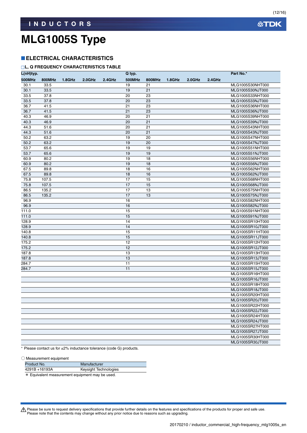### **ELECTRICAL CHARACTERISTICS**

#### **L, Q FREQUENCY CHARACTERISTICS TABLE**

| L(nH)typ.     |        |        |        |        | Q typ.        |               |        |           |        | Part No.*        |
|---------------|--------|--------|--------|--------|---------------|---------------|--------|-----------|--------|------------------|
| <b>500MHz</b> | 800MHz | 1.8GHz | 2.0GHz | 2.4GHz | <b>500MHz</b> | <b>800MHz</b> | 1.8GHz | $2.0$ GHz | 2.4GHz |                  |
| 30.1          | 33.5   |        |        |        | 19            | 21            |        |           |        | MLG1005S30NHT000 |
| 30.1          | 33.5   |        |        |        | 19            | 21            |        |           |        | MLG1005S30NJT000 |
| 33.5          | 37.8   |        |        |        | 20            | 23            |        |           |        | MLG1005S33NHT000 |
| 33.5          | 37.8   |        |        |        | 20            | 23            |        |           |        | MLG1005S33NJT000 |
| 36.7          | 41.5   |        |        |        | 21            | 23            |        |           |        | MLG1005S36NHT000 |
| 36.7          | 41.5   |        |        |        | 21            | 23            |        |           |        | MLG1005S36NJT000 |
| 40.3          | 46.9   |        |        |        | 20            | 21            |        |           |        | MLG1005S39NHT000 |
| 40.3          | 46.9   |        |        |        | 20            | 21            |        |           |        | MLG1005S39NJT000 |
| 44.3          | 51.6   |        |        |        | 20            | 21            |        |           |        | MLG1005S43NHT000 |
| 44.3          | 51.6   |        |        |        | 20            | 21            |        |           |        | MLG1005S43NJT000 |
| 50.2          | 63.2   |        |        |        | 19            | 20            |        |           |        | MLG1005S47NHT000 |
| 50.2          | 63.2   |        |        |        | 19            | 20            |        |           |        | MLG1005S47NJT000 |
| 53.7          | 65.6   |        |        |        | 19            | 19            |        |           |        | MLG1005S51NHT000 |
| 53.7          | 65.6   |        |        |        | 19            | 19            |        |           |        | MLG1005S51NJT000 |
| 60.9          | 80.2   |        |        |        | 19            | 18            |        |           |        | MLG1005S56NHT000 |
| 60.9          | 80.2   |        |        |        | 19            | 18            |        |           |        | MLG1005S56NJT000 |
| 67.5          | 89.8   |        |        |        | 18            | 16            |        |           |        | MLG1005S62NHT000 |
| 67.5          | 89.8   |        |        |        | 18            | 16            |        |           |        | MLG1005S62NJT000 |
| 75.8          | 107.5  |        |        |        | 17            | 15            |        |           |        | MLG1005S68NHT000 |
| 75.8          | 107.5  |        |        |        | 17            | 15            |        |           |        | MLG1005S68NJT000 |
| 86.5          | 135.2  |        |        |        | 17            | 13            |        |           |        | MLG1005S75NHT000 |
| 86.5          | 135.2  |        |        |        | 17            | 13            |        |           |        | MLG1005S75NJT000 |
| 96.9          |        |        |        |        | 16            |               |        |           |        | MLG1005S82NHT000 |
| 96.9          |        |        |        |        | 16            |               |        |           |        | MLG1005S82NJT000 |
| 111.0         |        |        |        |        | 15            |               |        |           |        | MLG1005S91NHT000 |
| 111.0         |        |        |        |        | 15            |               |        |           |        | MLG1005S91NJT000 |
| 128.9         |        |        |        |        | 14            |               |        |           |        | MLG1005SR10HT000 |
| 128.9         |        |        |        |        | 14            |               |        |           |        | MLG1005SR10JT000 |
| 140.8         |        |        |        |        | 15            |               |        |           |        | MLG1005SR11HT000 |
| 140.8         |        |        |        |        | 15            |               |        |           |        | MLG1005SR11JT000 |
| 175.2         |        |        |        |        | 12            |               |        |           |        | MLG1005SR12HT000 |
| 175.2         |        |        |        |        | 12            |               |        |           |        | MLG1005SR12JT000 |
| 187.8         |        |        |        |        | 13            |               |        |           |        | MLG1005SR13HT000 |
| 187.8         |        |        |        |        | 13            |               |        |           |        | MLG1005SR13JT000 |
| 284.7         |        |        |        |        | 11            |               |        |           |        | MLG1005SR15HT000 |
| 284.7         |        |        |        |        | 11            |               |        |           |        | MLG1005SR15JT000 |
|               |        |        |        |        |               |               |        |           |        | MLG1005SR16HT000 |
|               |        |        |        |        |               |               |        |           |        | MLG1005SR16JT000 |
|               |        |        |        |        |               |               |        |           |        | MLG1005SR18HT000 |
|               |        |        |        |        |               |               |        |           |        | MLG1005SR18JT000 |
|               |        |        |        |        |               |               |        |           |        | MLG1005SR20HT000 |
|               |        |        |        |        |               |               |        |           |        | MLG1005SR20JT000 |
|               |        |        |        |        |               |               |        |           |        | MLG1005SR22HT000 |
|               |        |        |        |        |               |               |        |           |        | MLG1005SR22JT000 |
|               |        |        |        |        |               |               |        |           |        | MLG1005SR24HT000 |
|               |        |        |        |        |               |               |        |           |        | MLG1005SR24JT000 |
|               |        |        |        |        |               |               |        |           |        | MLG1005SR27HT000 |
|               |        |        |        |        |               |               |        |           |        | MLG1005SR27JT000 |
|               |        |        |        |        |               |               |        |           |        | MLG1005SR30HT000 |
|               |        |        |        |        |               |               |        |           |        | MLG1005SR30JT000 |

Please contact us for ±2% inductance tolerance (code G) products.

○ Measurement equipment

| Product No.                                     | Manufacturer          |  |  |  |  |
|-------------------------------------------------|-----------------------|--|--|--|--|
| 4291B +16193A                                   | Keysight Technologies |  |  |  |  |
| * Equivalent measurement equipment may be used. |                       |  |  |  |  |

**公TDK** 

(12/16)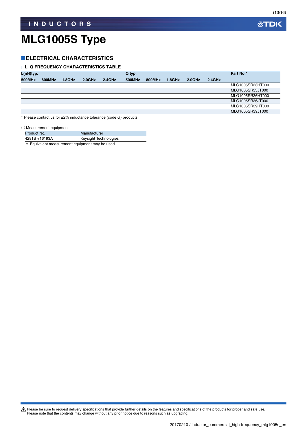### **ELECTRICAL CHARACTERISTICS**

#### **L, Q FREQUENCY CHARACTERISTICS TABLE**

| L(nH)typ. |        |        |           |           | Q typ. |        |           |           |           | Part No.*        |
|-----------|--------|--------|-----------|-----------|--------|--------|-----------|-----------|-----------|------------------|
| 500MHz    | 800MHz | 1.8GHz | $2.0$ GHz | $2.4$ GHz | 500MHz | 800MHz | $1.8$ GHz | $2.0$ GHz | $2.4$ GHz |                  |
|           |        |        |           |           |        |        |           |           |           | MLG1005SR33HT000 |
|           |        |        |           |           |        |        |           |           |           | MLG1005SR33JT000 |
|           |        |        |           |           |        |        |           |           |           | MLG1005SR36HT000 |
|           |        |        |           |           |        |        |           |           |           | MLG1005SR36JT000 |
|           |        |        |           |           |        |        |           |           |           | MLG1005SR39HT000 |
|           |        |        |           |           |        |        |           |           |           | MLG1005SR39JT000 |
|           |        |        |           |           |        |        |           |           |           |                  |

Please contact us for ±2% inductance tolerance (code G) products.

○ Measurement equipment

| Product No.                                          | Manufacturer          |  |  |  |  |
|------------------------------------------------------|-----------------------|--|--|--|--|
| 4291B +16193A                                        | Keysight Technologies |  |  |  |  |
| $\star$ Equivalent measurement equipment may be used |                       |  |  |  |  |

\* Equivalent measurement equipment may be used.

Please be sure to request delivery specifications that provide further details on the features and specifications of the products for proper and safe use.<br>Please note that the contents may change without any prior notice d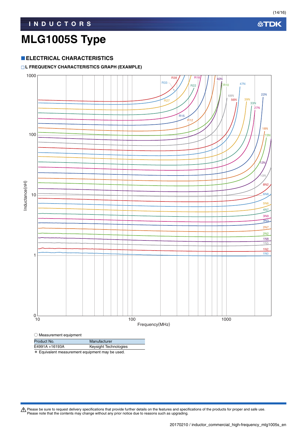### **公TDK**

### **MLG1005S Type**

### **ELECTRICAL CHARACTERISTICS**

### **L FREQUENCY CHARACTERISTICS GRAPH (EXAMPLE)**



| Product No.                                    | Manufacturer                 |  |  |  |  |
|------------------------------------------------|------------------------------|--|--|--|--|
| E4991A +16193A                                 | <b>Keysight Technologies</b> |  |  |  |  |
| * Equivalent measurement equipment may be used |                              |  |  |  |  |

\* Equivalent measurement equipment may be used.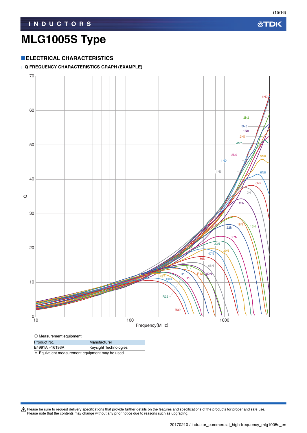(15/16)

### **MLG1005S Type**

### **ELECTRICAL CHARACTERISTICS**

### **Q FREQUENCY CHARACTERISTICS GRAPH (EXAMPLE)**



\* Equivalent measurement equipment may be used.